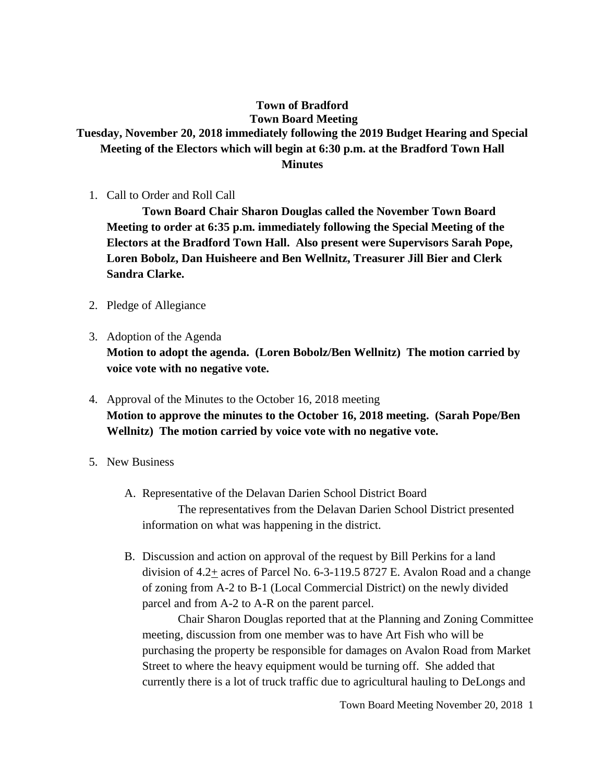#### **Town of Bradford Town Board Meeting**

# **Tuesday, November 20, 2018 immediately following the 2019 Budget Hearing and Special Meeting of the Electors which will begin at 6:30 p.m. at the Bradford Town Hall Minutes**

1. Call to Order and Roll Call

**Town Board Chair Sharon Douglas called the November Town Board Meeting to order at 6:35 p.m. immediately following the Special Meeting of the Electors at the Bradford Town Hall. Also present were Supervisors Sarah Pope, Loren Bobolz, Dan Huisheere and Ben Wellnitz, Treasurer Jill Bier and Clerk Sandra Clarke.** 

- 2. Pledge of Allegiance
- 3. Adoption of the Agenda

**Motion to adopt the agenda. (Loren Bobolz/Ben Wellnitz) The motion carried by voice vote with no negative vote.**

- 4. Approval of the Minutes to the October 16, 2018 meeting **Motion to approve the minutes to the October 16, 2018 meeting. (Sarah Pope/Ben Wellnitz) The motion carried by voice vote with no negative vote.**
- 5. New Business
	- A. Representative of the Delavan Darien School District Board The representatives from the Delavan Darien School District presented information on what was happening in the district.
	- B. Discussion and action on approval of the request by Bill Perkins for a land division of 4.2+ acres of Parcel No. 6-3-119.5 8727 E. Avalon Road and a change of zoning from A-2 to B-1 (Local Commercial District) on the newly divided parcel and from A-2 to A-R on the parent parcel.

Chair Sharon Douglas reported that at the Planning and Zoning Committee meeting, discussion from one member was to have Art Fish who will be purchasing the property be responsible for damages on Avalon Road from Market Street to where the heavy equipment would be turning off. She added that currently there is a lot of truck traffic due to agricultural hauling to DeLongs and

Town Board Meeting November 20, 2018 1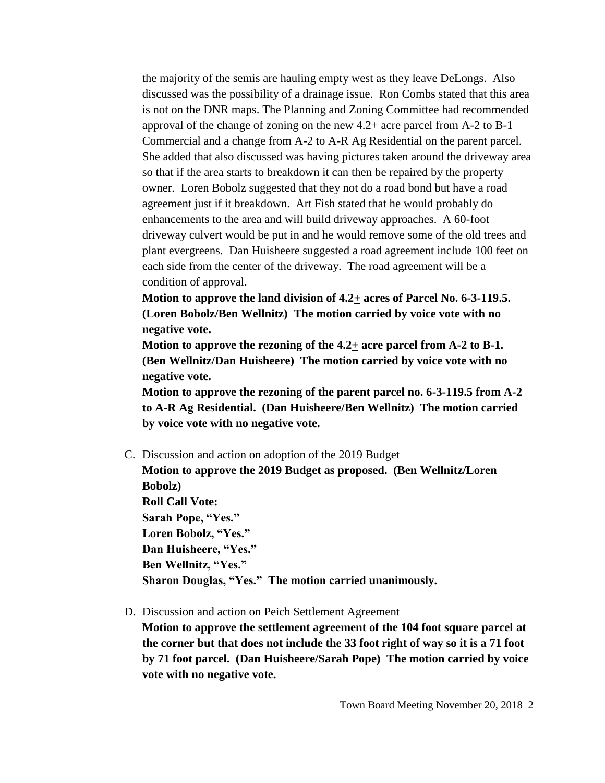the majority of the semis are hauling empty west as they leave DeLongs. Also discussed was the possibility of a drainage issue. Ron Combs stated that this area is not on the DNR maps. The Planning and Zoning Committee had recommended approval of the change of zoning on the new 4.2+ acre parcel from A-2 to B-1 Commercial and a change from A-2 to A-R Ag Residential on the parent parcel. She added that also discussed was having pictures taken around the driveway area so that if the area starts to breakdown it can then be repaired by the property owner. Loren Bobolz suggested that they not do a road bond but have a road agreement just if it breakdown. Art Fish stated that he would probably do enhancements to the area and will build driveway approaches. A 60-foot driveway culvert would be put in and he would remove some of the old trees and plant evergreens. Dan Huisheere suggested a road agreement include 100 feet on each side from the center of the driveway. The road agreement will be a condition of approval.

**Motion to approve the land division of 4.2+ acres of Parcel No. 6-3-119.5. (Loren Bobolz/Ben Wellnitz) The motion carried by voice vote with no negative vote.**

**Motion to approve the rezoning of the 4.2+ acre parcel from A-2 to B-1. (Ben Wellnitz/Dan Huisheere) The motion carried by voice vote with no negative vote.**

**Motion to approve the rezoning of the parent parcel no. 6-3-119.5 from A-2 to A-R Ag Residential. (Dan Huisheere/Ben Wellnitz) The motion carried by voice vote with no negative vote.**

C. Discussion and action on adoption of the 2019 Budget

**Motion to approve the 2019 Budget as proposed. (Ben Wellnitz/Loren Bobolz) Roll Call Vote: Sarah Pope, "Yes." Loren Bobolz, "Yes." Dan Huisheere, "Yes." Ben Wellnitz, "Yes." Sharon Douglas, "Yes." The motion carried unanimously.**

D. Discussion and action on Peich Settlement Agreement

**Motion to approve the settlement agreement of the 104 foot square parcel at the corner but that does not include the 33 foot right of way so it is a 71 foot by 71 foot parcel. (Dan Huisheere/Sarah Pope) The motion carried by voice vote with no negative vote.**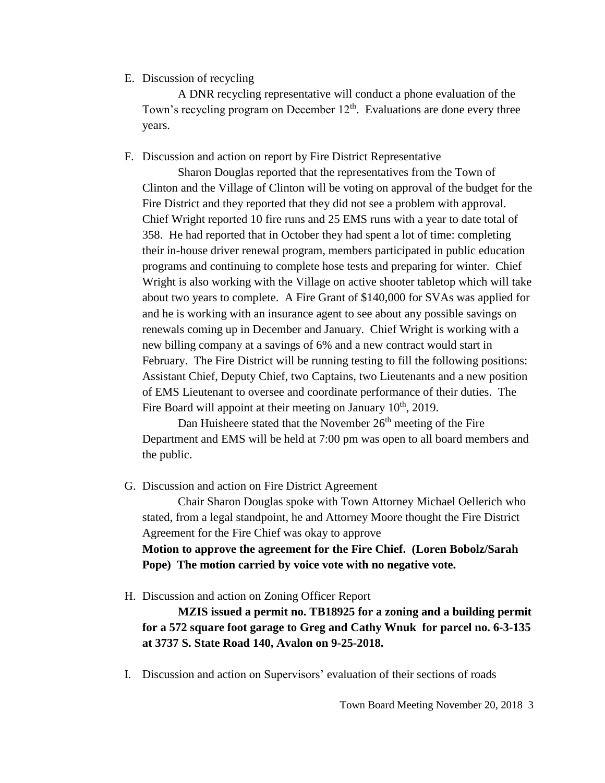#### E. Discussion of recycling

A DNR recycling representative will conduct a phone evaluation of the Town's recycling program on December  $12<sup>th</sup>$ . Evaluations are done every three years.

### F. Discussion and action on report by Fire District Representative

Sharon Douglas reported that the representatives from the Town of Clinton and the Village of Clinton will be voting on approval of the budget for the Fire District and they reported that they did not see a problem with approval. Chief Wright reported 10 fire runs and 25 EMS runs with a year to date total of 358. He had reported that in October they had spent a lot of time: completing their in-house driver renewal program, members participated in public education programs and continuing to complete hose tests and preparing for winter. Chief Wright is also working with the Village on active shooter tabletop which will take about two years to complete. A Fire Grant of \$140,000 for SVAs was applied for and he is working with an insurance agent to see about any possible savings on renewals coming up in December and January. Chief Wright is working with a new billing company at a savings of 6% and a new contract would start in February. The Fire District will be running testing to fill the following positions: Assistant Chief, Deputy Chief, two Captains, two Lieutenants and a new position of EMS Lieutenant to oversee and coordinate performance of their duties. The Fire Board will appoint at their meeting on January 10<sup>th</sup>, 2019.

Dan Huisheere stated that the November  $26<sup>th</sup>$  meeting of the Fire Department and EMS will be held at 7:00 pm was open to all board members and the public.

G. Discussion and action on Fire District Agreement

Chair Sharon Douglas spoke with Town Attorney Michael Oellerich who stated, from a legal standpoint, he and Attorney Moore thought the Fire District Agreement for the Fire Chief was okay to approve

**Motion to approve the agreement for the Fire Chief. (Loren Bobolz/Sarah Pope) The motion carried by voice vote with no negative vote.**

H. Discussion and action on Zoning Officer Report

**MZIS issued a permit no. TB18925 for a zoning and a building permit for a 572 square foot garage to Greg and Cathy Wnuk for parcel no. 6-3-135 at 3737 S. State Road 140, Avalon on 9-25-2018.**

I. Discussion and action on Supervisors' evaluation of their sections of roads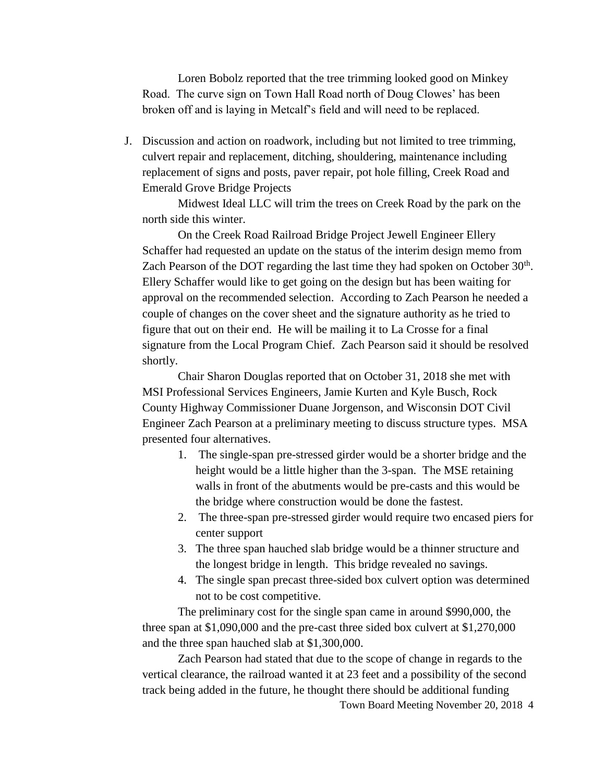Loren Bobolz reported that the tree trimming looked good on Minkey Road. The curve sign on Town Hall Road north of Doug Clowes' has been broken off and is laying in Metcalf's field and will need to be replaced.

J. Discussion and action on roadwork, including but not limited to tree trimming, culvert repair and replacement, ditching, shouldering, maintenance including replacement of signs and posts, paver repair, pot hole filling, Creek Road and Emerald Grove Bridge Projects

Midwest Ideal LLC will trim the trees on Creek Road by the park on the north side this winter.

On the Creek Road Railroad Bridge Project Jewell Engineer Ellery Schaffer had requested an update on the status of the interim design memo from Zach Pearson of the DOT regarding the last time they had spoken on October  $30<sup>th</sup>$ . Ellery Schaffer would like to get going on the design but has been waiting for approval on the recommended selection. According to Zach Pearson he needed a couple of changes on the cover sheet and the signature authority as he tried to figure that out on their end. He will be mailing it to La Crosse for a final signature from the Local Program Chief. Zach Pearson said it should be resolved shortly.

Chair Sharon Douglas reported that on October 31, 2018 she met with MSI Professional Services Engineers, Jamie Kurten and Kyle Busch, Rock County Highway Commissioner Duane Jorgenson, and Wisconsin DOT Civil Engineer Zach Pearson at a preliminary meeting to discuss structure types. MSA presented four alternatives.

- 1. The single-span pre-stressed girder would be a shorter bridge and the height would be a little higher than the 3-span. The MSE retaining walls in front of the abutments would be pre-casts and this would be the bridge where construction would be done the fastest.
- 2. The three-span pre-stressed girder would require two encased piers for center support
- 3. The three span hauched slab bridge would be a thinner structure and the longest bridge in length. This bridge revealed no savings.
- 4. The single span precast three-sided box culvert option was determined not to be cost competitive.

The preliminary cost for the single span came in around \$990,000, the three span at \$1,090,000 and the pre-cast three sided box culvert at \$1,270,000 and the three span hauched slab at \$1,300,000.

Town Board Meeting November 20, 2018 4 Zach Pearson had stated that due to the scope of change in regards to the vertical clearance, the railroad wanted it at 23 feet and a possibility of the second track being added in the future, he thought there should be additional funding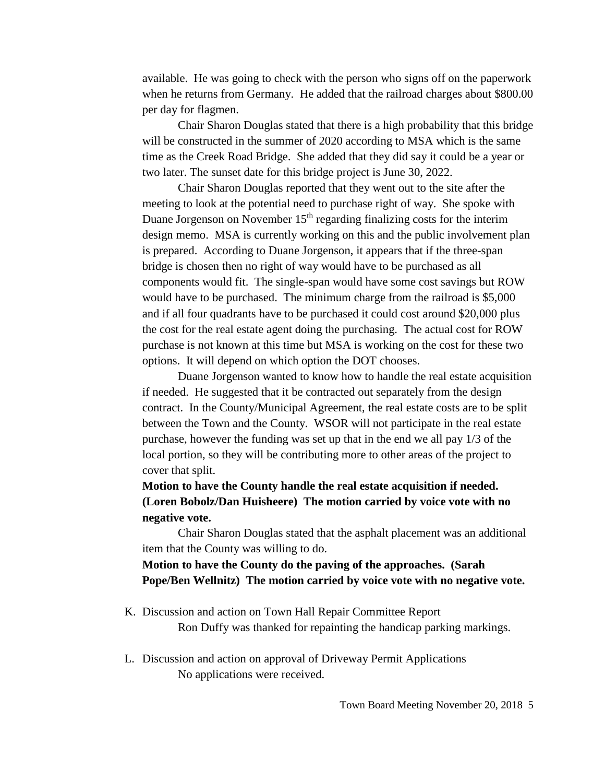available. He was going to check with the person who signs off on the paperwork when he returns from Germany. He added that the railroad charges about \$800.00 per day for flagmen.

Chair Sharon Douglas stated that there is a high probability that this bridge will be constructed in the summer of 2020 according to MSA which is the same time as the Creek Road Bridge. She added that they did say it could be a year or two later. The sunset date for this bridge project is June 30, 2022.

Chair Sharon Douglas reported that they went out to the site after the meeting to look at the potential need to purchase right of way. She spoke with Duane Jorgenson on November  $15<sup>th</sup>$  regarding finalizing costs for the interim design memo. MSA is currently working on this and the public involvement plan is prepared. According to Duane Jorgenson, it appears that if the three-span bridge is chosen then no right of way would have to be purchased as all components would fit. The single-span would have some cost savings but ROW would have to be purchased. The minimum charge from the railroad is \$5,000 and if all four quadrants have to be purchased it could cost around \$20,000 plus the cost for the real estate agent doing the purchasing. The actual cost for ROW purchase is not known at this time but MSA is working on the cost for these two options. It will depend on which option the DOT chooses.

Duane Jorgenson wanted to know how to handle the real estate acquisition if needed. He suggested that it be contracted out separately from the design contract. In the County/Municipal Agreement, the real estate costs are to be split between the Town and the County. WSOR will not participate in the real estate purchase, however the funding was set up that in the end we all pay 1/3 of the local portion, so they will be contributing more to other areas of the project to cover that split.

# **Motion to have the County handle the real estate acquisition if needed. (Loren Bobolz/Dan Huisheere) The motion carried by voice vote with no negative vote.**

Chair Sharon Douglas stated that the asphalt placement was an additional item that the County was willing to do.

# **Motion to have the County do the paving of the approaches. (Sarah Pope/Ben Wellnitz) The motion carried by voice vote with no negative vote.**

K. Discussion and action on Town Hall Repair Committee Report

Ron Duffy was thanked for repainting the handicap parking markings.

L. Discussion and action on approval of Driveway Permit Applications No applications were received.